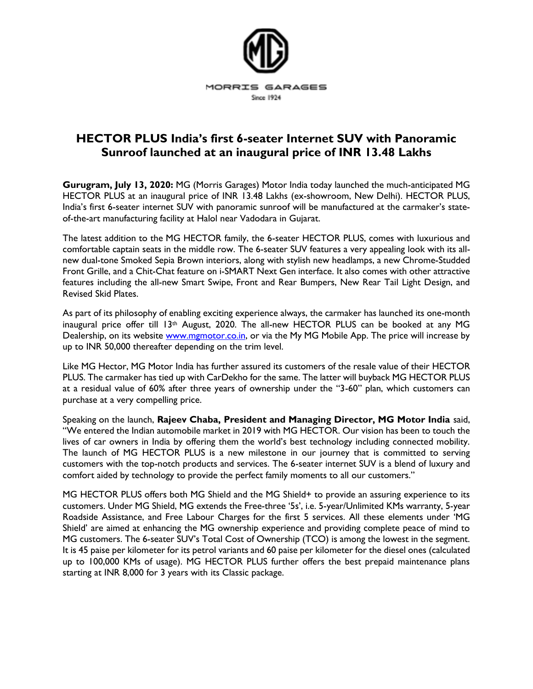

## **HECTOR PLUS India's first 6-seater Internet SUV with Panoramic Sunroof launched at an inaugural price of INR 13.48 Lakhs**

**Gurugram, July 13, 2020:** MG (Morris Garages) Motor India today launched the much-anticipated MG HECTOR PLUS at an inaugural price of INR 13.48 Lakhs (ex-showroom, New Delhi). HECTOR PLUS, India's first 6-seater internet SUV with panoramic sunroof will be manufactured at the carmaker's stateof-the-art manufacturing facility at Halol near Vadodara in Gujarat.

The latest addition to the MG HECTOR family, the 6-seater HECTOR PLUS, comes with luxurious and comfortable captain seats in the middle row. The 6-seater SUV features a very appealing look with its allnew dual-tone Smoked Sepia Brown interiors, along with stylish new headlamps, a new Chrome-Studded Front Grille, and a Chit-Chat feature on i-SMART Next Gen interface. It also comes with other attractive features including the all-new Smart Swipe, Front and Rear Bumpers, New Rear Tail Light Design, and Revised Skid Plates.

As part of its philosophy of enabling exciting experience always, the carmaker has launched its one-month inaugural price offer till 13<sup>th</sup> August, 2020. The all-new HECTOR PLUS can be booked at any MG Dealership, on its website [www.mgmotor.co.in,](http://www.mgmotor.co.in/) or via the My MG Mobile App. The price will increase by up to INR 50,000 thereafter depending on the trim level.

Like MG Hector, MG Motor India has further assured its customers of the resale value of their HECTOR PLUS. The carmaker has tied up with CarDekho for the same. The latter will buyback MG HECTOR PLUS at a residual value of 60% after three years of ownership under the "3-60" plan, which customers can purchase at a very compelling price.

Speaking on the launch, **Rajeev Chaba, President and Managing Director, MG Motor India** said, "We entered the Indian automobile market in 2019 with MG HECTOR. Our vision has been to touch the lives of car owners in India by offering them the world's best technology including connected mobility. The launch of MG HECTOR PLUS is a new milestone in our journey that is committed to serving customers with the top-notch products and services. The 6-seater internet SUV is a blend of luxury and comfort aided by technology to provide the perfect family moments to all our customers."

MG HECTOR PLUS offers both MG Shield and the MG Shield+ to provide an assuring experience to its customers. Under MG Shield, MG extends the Free-three '5s', i.e. 5-year/Unlimited KMs warranty, 5-year Roadside Assistance, and Free Labour Charges for the first 5 services. All these elements under 'MG Shield' are aimed at enhancing the MG ownership experience and providing complete peace of mind to MG customers. The 6-seater SUV's Total Cost of Ownership (TCO) is among the lowest in the segment. It is 45 paise per kilometer for its petrol variants and 60 paise per kilometer for the diesel ones (calculated up to 100,000 KMs of usage). MG HECTOR PLUS further offers the best prepaid maintenance plans starting at INR 8,000 for 3 years with its Classic package.